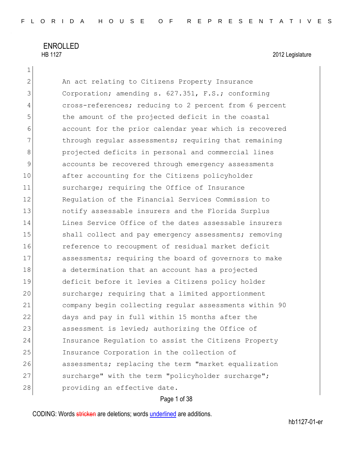1

2 An act relating to Citizens Property Insurance 3 Corporation; amending s. 627.351, F.S.; conforming 4 cross-references; reducing to 2 percent from 6 percent 5 the amount of the projected deficit in the coastal 6 account for the prior calendar year which is recovered  $7$  through regular assessments; requiring that remaining 8 **projected deficits in personal and commercial lines** 9 accounts be recovered through emergency assessments 10 after accounting for the Citizens policyholder 11 Surcharge; requiring the Office of Insurance 12 Regulation of the Financial Services Commission to 13 13 notify assessable insurers and the Florida Surplus 14 Lines Service Office of the dates assessable insurers 15 Shall collect and pay emergency assessments; removing 16 16 reference to recoupment of residual market deficit 17 assessments; requiring the board of governors to make 18 a determination that an account has a projected 19 deficit before it levies a Citizens policy holder 20 Surcharge; requiring that a limited apportionment 21 company begin collecting regular assessments within 90 22 days and pay in full within 15 months after the 23 assessment is levied; authorizing the Office of 24 Insurance Regulation to assist the Citizens Property 25 Insurance Corporation in the collection of 26 assessments; replacing the term "market equalization 27 surcharge" with the term "policyholder surcharge"; 28 providing an effective date.

### Page 1 of 38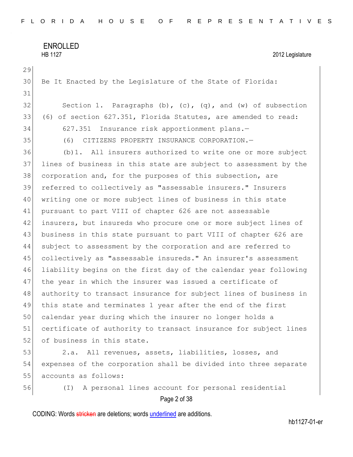```
ENROLLED 
HB 1127 2012 Legislature
```
Page 2 of 38 Be It Enacted by the Legislature of the State of Florida: 32 Section 1. Paragraphs  $(b)$ ,  $(c)$ ,  $(q)$ , and  $(w)$  of subsection (6) of section 627.351, Florida Statutes, are amended to read: 627.351 Insurance risk apportionment plans.— (6) CITIZENS PROPERTY INSURANCE CORPORATION.— (b)1. All insurers authorized to write one or more subject lines of business in this state are subject to assessment by the 38 corporation and, for the purposes of this subsection, are referred to collectively as "assessable insurers." Insurers writing one or more subject lines of business in this state pursuant to part VIII of chapter 626 are not assessable insurers, but insureds who procure one or more subject lines of 43 business in this state pursuant to part VIII of chapter 626 are subject to assessment by the corporation and are referred to collectively as "assessable insureds." An insurer's assessment liability begins on the first day of the calendar year following 47 | the year in which the insurer was issued a certificate of authority to transact insurance for subject lines of business in this state and terminates 1 year after the end of the first calendar year during which the insurer no longer holds a 51 certificate of authority to transact insurance for subject lines 52 of business in this state. 2.a. All revenues, assets, liabilities, losses, and expenses of the corporation shall be divided into three separate 55 accounts as follows: (I) A personal lines account for personal residential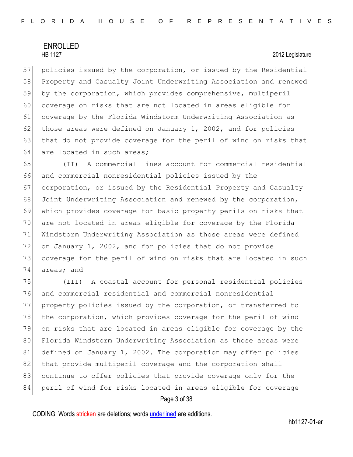57 policies issued by the corporation, or issued by the Residential 58 Property and Casualty Joint Underwriting Association and renewed 59 by the corporation, which provides comprehensive, multiperil 60 coverage on risks that are not located in areas eligible for 61 coverage by the Florida Windstorm Underwriting Association as 62 those areas were defined on January 1, 2002, and for policies 63 that do not provide coverage for the peril of wind on risks that 64 are located in such areas;

 (II) A commercial lines account for commercial residential and commercial nonresidential policies issued by the corporation, or issued by the Residential Property and Casualty Joint Underwriting Association and renewed by the corporation, which provides coverage for basic property perils on risks that are not located in areas eligible for coverage by the Florida Windstorm Underwriting Association as those areas were defined on January 1, 2002, and for policies that do not provide coverage for the peril of wind on risks that are located in such areas; and

75 (III) A coastal account for personal residential policies 76 and commercial residential and commercial nonresidential 77 property policies issued by the corporation, or transferred to 78 the corporation, which provides coverage for the peril of wind 79 on risks that are located in areas eligible for coverage by the 80 Florida Windstorm Underwriting Association as those areas were 81 defined on January 1, 2002. The corporation may offer policies 82 that provide multiperil coverage and the corporation shall 83 continue to offer policies that provide coverage only for the 84 peril of wind for risks located in areas eligible for coverage

### Page 3 of 38

CODING: Words stricken are deletions; words underlined are additions.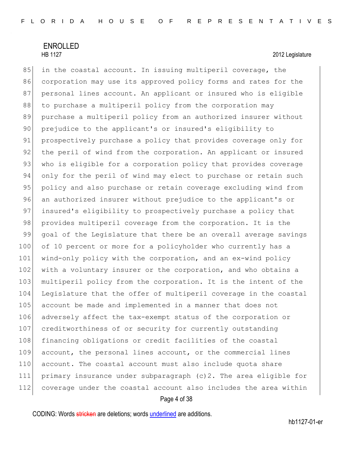85 in the coastal account. In issuing multiperil coverage, the 86 corporation may use its approved policy forms and rates for the 87 personal lines account. An applicant or insured who is eligible 88 to purchase a multiperil policy from the corporation may 89 purchase a multiperil policy from an authorized insurer without 90 prejudice to the applicant's or insured's eligibility to 91 prospectively purchase a policy that provides coverage only for 92 the peril of wind from the corporation. An applicant or insured 93 who is eligible for a corporation policy that provides coverage 94 only for the peril of wind may elect to purchase or retain such 95 policy and also purchase or retain coverage excluding wind from 96 an authorized insurer without prejudice to the applicant's or 97 insured's eligibility to prospectively purchase a policy that 98 provides multiperil coverage from the corporation. It is the 99 goal of the Legislature that there be an overall average savings 100 of 10 percent or more for a policyholder who currently has a 101 wind-only policy with the corporation, and an ex-wind policy 102 with a voluntary insurer or the corporation, and who obtains a 103 multiperil policy from the corporation. It is the intent of the 104 Legislature that the offer of multiperil coverage in the coastal 105 account be made and implemented in a manner that does not 106 adversely affect the tax-exempt status of the corporation or 107 creditworthiness of or security for currently outstanding 108 financing obligations or credit facilities of the coastal 109 account, the personal lines account, or the commercial lines 110 account. The coastal account must also include quota share 111 primary insurance under subparagraph (c)2. The area eligible for 112 coverage under the coastal account also includes the area within

### Page 4 of 38

CODING: Words stricken are deletions; words underlined are additions.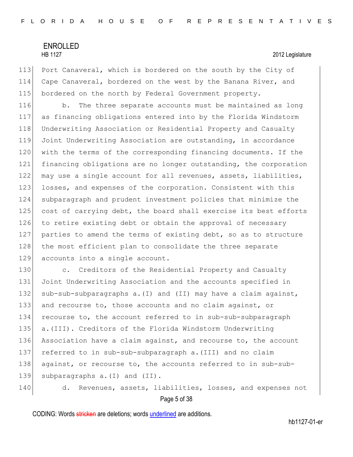113 Port Canaveral, which is bordered on the south by the City of 114 Cape Canaveral, bordered on the west by the Banana River, and 115 bordered on the north by Federal Government property.

116 b. The three separate accounts must be maintained as long 117 as financing obligations entered into by the Florida Windstorm 118 Underwriting Association or Residential Property and Casualty 119 Joint Underwriting Association are outstanding, in accordance 120 with the terms of the corresponding financing documents. If the 121 financing obligations are no longer outstanding, the corporation 122 may use a single account for all revenues, assets, liabilities, 123 losses, and expenses of the corporation. Consistent with this 124 subparagraph and prudent investment policies that minimize the 125 cost of carrying debt, the board shall exercise its best efforts 126 to retire existing debt or obtain the approval of necessary 127 parties to amend the terms of existing debt, so as to structure 128 the most efficient plan to consolidate the three separate 129 accounts into a single account.

130 c. Creditors of the Residential Property and Casualty Joint Underwriting Association and the accounts specified in 132 sub-sub-subparagraphs a. (I) and (II) may have a claim against, and recourse to, those accounts and no claim against, or recourse to, the account referred to in sub-sub-subparagraph a.(III). Creditors of the Florida Windstorm Underwriting Association have a claim against, and recourse to, the account referred to in sub-sub-subparagraph a.(III) and no claim against, or recourse to, the accounts referred to in sub-sub-139 subparagraphs a. (I) and (II).

Page 5 of 38 140 d. Revenues, assets, liabilities, losses, and expenses not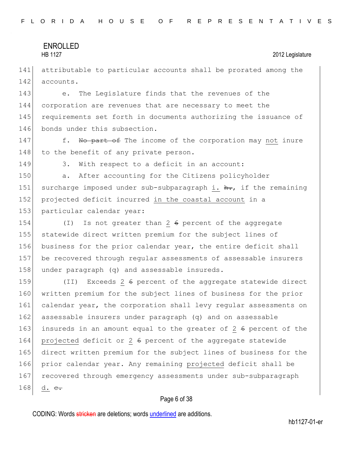141 attributable to particular accounts shall be prorated among the 142 accounts.

143 e. The Legislature finds that the revenues of the 144 corporation are revenues that are necessary to meet the 145 requirements set forth in documents authorizing the issuance of 146 bonds under this subsection.

147 f. No part of The income of the corporation may not inure 148 to the benefit of any private person.

149 3. With respect to a deficit in an account:

150 a. After accounting for the Citizens policyholder 151 surcharge imposed under sub-subparagraph i.  $h_{\tau}$ , if the remaining 152 projected deficit incurred in the coastal account in a 153 particular calendar year:

154 (I) Is not greater than 2 6 percent of the aggregate 155 statewide direct written premium for the subject lines of 156 business for the prior calendar year, the entire deficit shall 157 be recovered through regular assessments of assessable insurers 158 under paragraph (q) and assessable insureds.

159 (II) Exceeds 2 6 percent of the aggregate statewide direct 160 written premium for the subject lines of business for the prior 161 calendar year, the corporation shall levy regular assessments on 162 assessable insurers under paragraph (q) and on assessable 163 insureds in an amount equal to the greater of 2  $6$  percent of the 164 projected deficit or 2 6 percent of the aggregate statewide 165 direct written premium for the subject lines of business for the 166 prior calendar year. Any remaining projected deficit shall be 167 recovered through emergency assessments under sub-subparagraph 168 d.  $e_{\tau}$ 

### Page 6 of 38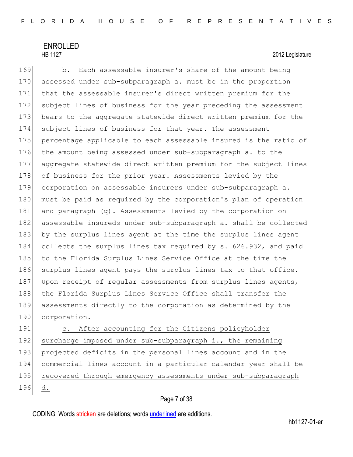# ENROLLED

### HB 1127 2012 Legislature

169 b. Each assessable insurer's share of the amount being 170 assessed under sub-subparagraph a. must be in the proportion 171 that the assessable insurer's direct written premium for the 172 subject lines of business for the year preceding the assessment 173 bears to the aggregate statewide direct written premium for the 174 subject lines of business for that year. The assessment 175 percentage applicable to each assessable insured is the ratio of 176 the amount being assessed under sub-subparagraph a. to the 177 aggregate statewide direct written premium for the subject lines 178 of business for the prior year. Assessments levied by the 179 corporation on assessable insurers under sub-subparagraph a. 180 must be paid as required by the corporation's plan of operation 181 and paragraph (q). Assessments levied by the corporation on 182 assessable insureds under sub-subparagraph a. shall be collected 183 by the surplus lines agent at the time the surplus lines agent 184 collects the surplus lines tax required by s. 626.932, and paid 185 to the Florida Surplus Lines Service Office at the time the 186 surplus lines agent pays the surplus lines tax to that office. 187 Upon receipt of regular assessments from surplus lines agents, 188 | the Florida Surplus Lines Service Office shall transfer the 189 assessments directly to the corporation as determined by the 190 corporation.

191 c. After accounting for the Citizens policyholder 192 surcharge imposed under sub-subparagraph i., the remaining 193 projected deficits in the personal lines account and in the 194 commercial lines account in a particular calendar year shall be 195 recovered through emergency assessments under sub-subparagraph 196 d.

### Page 7 of 38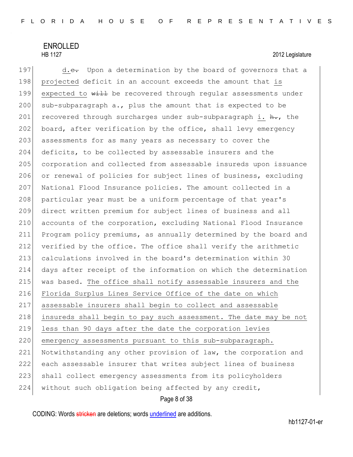197  $d.e.$  Upon a determination by the board of governors that a 198 projected deficit in an account exceeds the amount that is 199 expected to will be recovered through regular assessments under 200 sub-subparagraph a., plus the amount that is expected to be 201 recovered through surcharges under sub-subparagraph i.  $\frac{h}{h}$ , the 202 board, after verification by the office, shall levy emergency 203 assessments for as many years as necessary to cover the 204 deficits, to be collected by assessable insurers and the 205 corporation and collected from assessable insureds upon issuance 206 or renewal of policies for subject lines of business, excluding 207 National Flood Insurance policies. The amount collected in a 208 particular year must be a uniform percentage of that year's 209 direct written premium for subject lines of business and all 210 accounts of the corporation, excluding National Flood Insurance 211 Program policy premiums, as annually determined by the board and 212 verified by the office. The office shall verify the arithmetic 213 calculations involved in the board's determination within 30 214 days after receipt of the information on which the determination 215 was based. The office shall notify assessable insurers and the 216 Florida Surplus Lines Service Office of the date on which 217 assessable insurers shall begin to collect and assessable 218 insureds shall begin to pay such assessment. The date may be not 219 less than 90 days after the date the corporation levies 220 emergency assessments pursuant to this sub-subparagraph. 221 Notwithstanding any other provision of law, the corporation and 222 each assessable insurer that writes subject lines of business 223 shall collect emergency assessments from its policyholders 224 without such obligation being affected by any credit,

Page 8 of 38

CODING: Words stricken are deletions; words underlined are additions.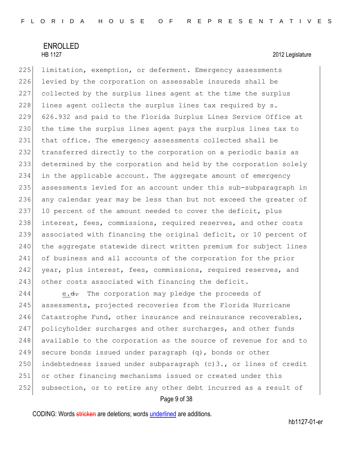225 limitation, exemption, or deferment. Emergency assessments 226 levied by the corporation on assessable insureds shall be 227 collected by the surplus lines agent at the time the surplus  $228$  lines agent collects the surplus lines tax required by s. 229 626.932 and paid to the Florida Surplus Lines Service Office at 230 the time the surplus lines agent pays the surplus lines tax to 231 that office. The emergency assessments collected shall be 232 transferred directly to the corporation on a periodic basis as 233 determined by the corporation and held by the corporation solely 234 in the applicable account. The aggregate amount of emergency 235 assessments levied for an account under this sub-subparagraph in 236 any calendar year may be less than but not exceed the greater of 237 10 percent of the amount needed to cover the deficit, plus 238 interest, fees, commissions, required reserves, and other costs 239 associated with financing the original deficit, or 10 percent of 240 the aggregate statewide direct written premium for subject lines 241 of business and all accounts of the corporation for the prior 242 year, plus interest, fees, commissions, required reserves, and 243 other costs associated with financing the deficit.

244 e.<del>d.</del> The corporation may pledge the proceeds of 245 assessments, projected recoveries from the Florida Hurricane 246 Catastrophe Fund, other insurance and reinsurance recoverables, 247 policyholder surcharges and other surcharges, and other funds 248 available to the corporation as the source of revenue for and to 249 secure bonds issued under paragraph  $(q)$ , bonds or other 250 indebtedness issued under subparagraph  $(c)$ 3., or lines of credit 251 or other financing mechanisms issued or created under this 252 subsection, or to retire any other debt incurred as a result of

Page 9 of 38

CODING: Words stricken are deletions; words underlined are additions.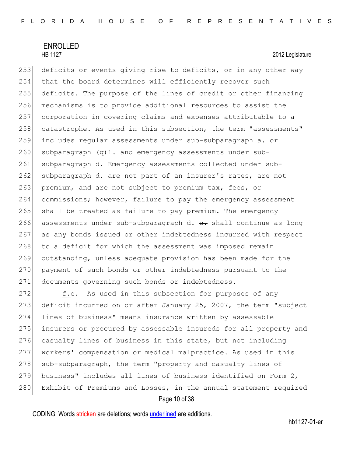253 deficits or events giving rise to deficits, or in any other way 254 that the board determines will efficiently recover such 255 deficits. The purpose of the lines of credit or other financing 256 mechanisms is to provide additional resources to assist the 257 corporation in covering claims and expenses attributable to a 258 catastrophe. As used in this subsection, the term "assessments" 259 includes regular assessments under sub-subparagraph a. or  $260$  subparagraph (q)1. and emergency assessments under sub-261 subparagraph d. Emergency assessments collected under sub-262 subparagraph d. are not part of an insurer's rates, are not 263 premium, and are not subject to premium tax, fees, or 264 commissions; however, failure to pay the emergency assessment 265 shall be treated as failure to pay premium. The emergency 266 assessments under sub-subparagraph d. e. shall continue as long 267 as any bonds issued or other indebtedness incurred with respect 268 to a deficit for which the assessment was imposed remain 269 outstanding, unless adequate provision has been made for the 270 payment of such bonds or other indebtedness pursuant to the 271 documents governing such bonds or indebtedness.

272 f.e. As used in this subsection for purposes of any 273 deficit incurred on or after January 25, 2007, the term "subject 274 lines of business" means insurance written by assessable 275 insurers or procured by assessable insureds for all property and 276 casualty lines of business in this state, but not including 277 workers' compensation or medical malpractice. As used in this 278 sub-subparagraph, the term "property and casualty lines of 279 business" includes all lines of business identified on Form 2, 280 Exhibit of Premiums and Losses, in the annual statement required

### Page 10 of 38

CODING: Words stricken are deletions; words underlined are additions.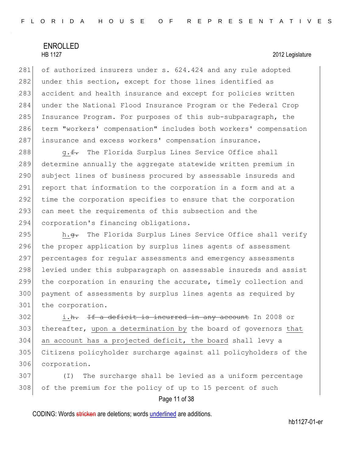281 of authorized insurers under s. 624.424 and any rule adopted 282 under this section, except for those lines identified as 283 accident and health insurance and except for policies written 284 under the National Flood Insurance Program or the Federal Crop 285 Insurance Program. For purposes of this sub-subparagraph, the 286 term "workers' compensation" includes both workers' compensation 287 insurance and excess workers' compensation insurance.

288 g.f. The Florida Surplus Lines Service Office shall 289 determine annually the aggregate statewide written premium in 290 subject lines of business procured by assessable insureds and 291 report that information to the corporation in a form and at a 292 time the corporation specifies to ensure that the corporation 293 can meet the requirements of this subsection and the 294 corporation's financing obligations.

295 h.<del>g.</del> The Florida Surplus Lines Service Office shall verify 296 the proper application by surplus lines agents of assessment 297 percentages for regular assessments and emergency assessments 298 levied under this subparagraph on assessable insureds and assist 299 the corporation in ensuring the accurate, timely collection and 300 payment of assessments by surplus lines agents as required by 301 the corporation.

 i.h. If a deficit is incurred in any account In 2008 or 303 | thereafter, upon a determination by the board of governors that an account has a projected deficit, the board shall levy a Citizens policyholder surcharge against all policyholders of the corporation.

307 (I) The surcharge shall be levied as a uniform percentage 308 of the premium for the policy of up to 15 percent of such

Page 11 of 38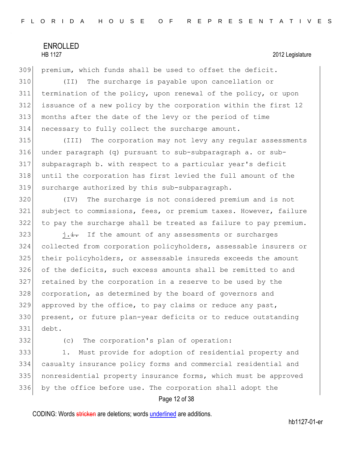premium, which funds shall be used to offset the deficit. (II) The surcharge is payable upon cancellation or termination of the policy, upon renewal of the policy, or upon issuance of a new policy by the corporation within the first 12 months after the date of the levy or the period of time necessary to fully collect the surcharge amount.

 (III) The corporation may not levy any regular assessments under paragraph (q) pursuant to sub-subparagraph a. or sub- subparagraph b. with respect to a particular year's deficit until the corporation has first levied the full amount of the surcharge authorized by this sub-subparagraph.

 (IV) The surcharge is not considered premium and is not subject to commissions, fees, or premium taxes. However, failure to pay the surcharge shall be treated as failure to pay premium.

 j.i. If the amount of any assessments or surcharges collected from corporation policyholders, assessable insurers or their policyholders, or assessable insureds exceeds the amount of the deficits, such excess amounts shall be remitted to and retained by the corporation in a reserve to be used by the 328 corporation, as determined by the board of governors and approved by the office, to pay claims or reduce any past, present, or future plan-year deficits or to reduce outstanding debt.

332 (c) The corporation's plan of operation:

333 1. Must provide for adoption of residential property and casualty insurance policy forms and commercial residential and nonresidential property insurance forms, which must be approved by the office before use. The corporation shall adopt the

### Page 12 of 38

CODING: Words stricken are deletions; words underlined are additions.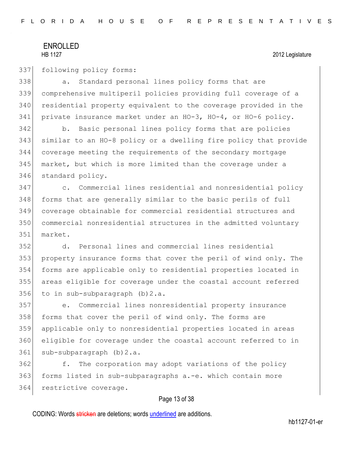337 following policy forms:

338 a. Standard personal lines policy forms that are 339 comprehensive multiperil policies providing full coverage of a 340 residential property equivalent to the coverage provided in the 341 private insurance market under an HO-3, HO-4, or HO-6 policy.

 b. Basic personal lines policy forms that are policies similar to an HO-8 policy or a dwelling fire policy that provide coverage meeting the requirements of the secondary mortgage market, but which is more limited than the coverage under a 346 standard policy.

347 c. Commercial lines residential and nonresidential policy 348 forms that are generally similar to the basic perils of full 349 coverage obtainable for commercial residential structures and 350 commercial nonresidential structures in the admitted voluntary 351 market.

 d. Personal lines and commercial lines residential property insurance forms that cover the peril of wind only. The forms are applicable only to residential properties located in areas eligible for coverage under the coastal account referred to in sub-subparagraph (b)2.a.

357 e. Commercial lines nonresidential property insurance 358 forms that cover the peril of wind only. The forms are 359 applicable only to nonresidential properties located in areas 360 eligible for coverage under the coastal account referred to in 361 sub-subparagraph (b) 2.a.

362 f. The corporation may adopt variations of the policy 363 forms listed in sub-subparagraphs a.-e. which contain more 364 restrictive coverage.

### Page 13 of 38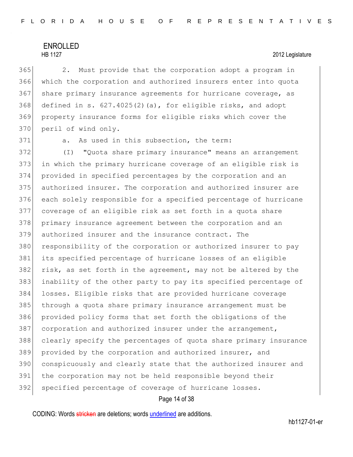365 2. Must provide that the corporation adopt a program in 366 which the corporation and authorized insurers enter into quota 367 share primary insurance agreements for hurricane coverage, as  $368$  defined in s.  $627.4025(2)$  (a), for eligible risks, and adopt 369 property insurance forms for eligible risks which cover the 370 peril of wind only.

371 a. As used in this subsection, the term:

 (I) "Quota share primary insurance" means an arrangement in which the primary hurricane coverage of an eligible risk is provided in specified percentages by the corporation and an authorized insurer. The corporation and authorized insurer are each solely responsible for a specified percentage of hurricane coverage of an eligible risk as set forth in a quota share primary insurance agreement between the corporation and an authorized insurer and the insurance contract. The 380 responsibility of the corporation or authorized insurer to pay its specified percentage of hurricane losses of an eligible 382 risk, as set forth in the agreement, may not be altered by the inability of the other party to pay its specified percentage of losses. Eligible risks that are provided hurricane coverage through a quota share primary insurance arrangement must be provided policy forms that set forth the obligations of the 387 corporation and authorized insurer under the arrangement, clearly specify the percentages of quota share primary insurance 389 provided by the corporation and authorized insurer, and conspicuously and clearly state that the authorized insurer and the corporation may not be held responsible beyond their 392 specified percentage of coverage of hurricane losses.

### Page 14 of 38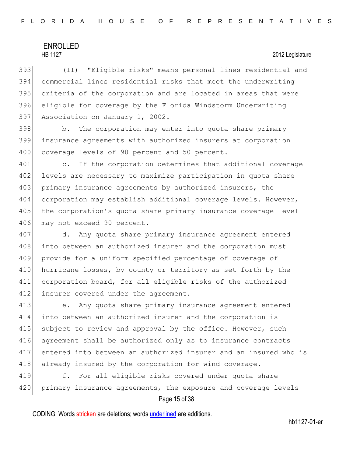(II) "Eligible risks" means personal lines residential and commercial lines residential risks that meet the underwriting 395 criteria of the corporation and are located in areas that were eligible for coverage by the Florida Windstorm Underwriting Association on January 1, 2002.

398 b. The corporation may enter into quota share primary 399 insurance agreements with authorized insurers at corporation 400 coverage levels of 90 percent and 50 percent.

401 c. If the corporation determines that additional coverage 402 levels are necessary to maximize participation in quota share 403 primary insurance agreements by authorized insurers, the 404 corporation may establish additional coverage levels. However, 405 the corporation's quota share primary insurance coverage level 406 may not exceed 90 percent.

407 d. Any quota share primary insurance agreement entered 408 into between an authorized insurer and the corporation must 409 provide for a uniform specified percentage of coverage of 410 hurricane losses, by county or territory as set forth by the 411 corporation board, for all eligible risks of the authorized 412 insurer covered under the agreement.

 e. Any quota share primary insurance agreement entered into between an authorized insurer and the corporation is 415 subject to review and approval by the office. However, such agreement shall be authorized only as to insurance contracts entered into between an authorized insurer and an insured who is 418 already insured by the corporation for wind coverage.

419 f. For all eligible risks covered under quota share 420 primary insurance agreements, the exposure and coverage levels

### Page 15 of 38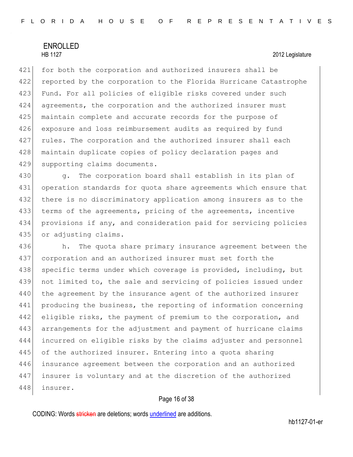421 for both the corporation and authorized insurers shall be 422 reported by the corporation to the Florida Hurricane Catastrophe 423 Fund. For all policies of eligible risks covered under such 424 agreements, the corporation and the authorized insurer must 425 maintain complete and accurate records for the purpose of 426 exposure and loss reimbursement audits as required by fund 427 rules. The corporation and the authorized insurer shall each 428 | maintain duplicate copies of policy declaration pages and 429 supporting claims documents.

430 g. The corporation board shall establish in its plan of 431 operation standards for quota share agreements which ensure that 432 there is no discriminatory application among insurers as to the 433 terms of the agreements, pricing of the agreements, incentive 434 provisions if any, and consideration paid for servicing policies 435 or adjusting claims.

436 h. The quota share primary insurance agreement between the 437 corporation and an authorized insurer must set forth the 438 specific terms under which coverage is provided, including, but 439 not limited to, the sale and servicing of policies issued under 440 the agreement by the insurance agent of the authorized insurer 441 producing the business, the reporting of information concerning 442 eligible risks, the payment of premium to the corporation, and 443 arrangements for the adjustment and payment of hurricane claims 444 incurred on eligible risks by the claims adjuster and personnel 445 of the authorized insurer. Entering into a quota sharing 446 insurance agreement between the corporation and an authorized 447 | insurer is voluntary and at the discretion of the authorized 448 insurer.

### Page 16 of 38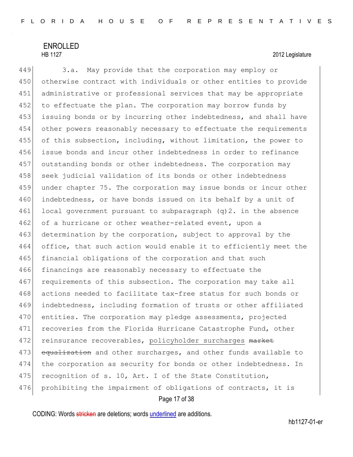# ENROLLED

## HB 1127 2012 Legislature

449 3.a. May provide that the corporation may employ or 450 otherwise contract with individuals or other entities to provide 451 administrative or professional services that may be appropriate 452 to effectuate the plan. The corporation may borrow funds by 453 issuing bonds or by incurring other indebtedness, and shall have 454 other powers reasonably necessary to effectuate the requirements 455 of this subsection, including, without limitation, the power to 456 issue bonds and incur other indebtedness in order to refinance 457 outstanding bonds or other indebtedness. The corporation may 458 seek judicial validation of its bonds or other indebtedness 459 under chapter 75. The corporation may issue bonds or incur other 460 indebtedness, or have bonds issued on its behalf by a unit of 461 local government pursuant to subparagraph  $(q)$  2. in the absence 462 of a hurricane or other weather-related event, upon a 463 determination by the corporation, subject to approval by the 464 office, that such action would enable it to efficiently meet the 465 financial obligations of the corporation and that such 466 financings are reasonably necessary to effectuate the 467 requirements of this subsection. The corporation may take all 468 actions needed to facilitate tax-free status for such bonds or 469 indebtedness, including formation of trusts or other affiliated 470 entities. The corporation may pledge assessments, projected 471 recoveries from the Florida Hurricane Catastrophe Fund, other 472 reinsurance recoverables, policyholder surcharges market 473 equalization and other surcharges, and other funds available to 474 the corporation as security for bonds or other indebtedness. In 475 recognition of s. 10, Art. I of the State Constitution, 476 prohibiting the impairment of obligations of contracts, it is

### Page 17 of 38

CODING: Words stricken are deletions; words underlined are additions.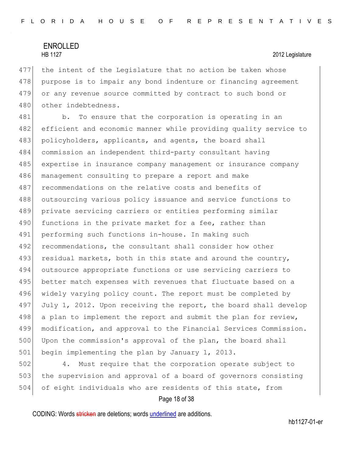477 the intent of the Legislature that no action be taken whose 478 purpose is to impair any bond indenture or financing agreement 479 or any revenue source committed by contract to such bond or 480 other indebtedness.

481 b. To ensure that the corporation is operating in an 482 efficient and economic manner while providing quality service to 483 policyholders, applicants, and agents, the board shall 484 commission an independent third-party consultant having 485 expertise in insurance company management or insurance company 486 management consulting to prepare a report and make 487 recommendations on the relative costs and benefits of 488 outsourcing various policy issuance and service functions to 489 private servicing carriers or entities performing similar 490 functions in the private market for a fee, rather than 491 performing such functions in-house. In making such 492 recommendations, the consultant shall consider how other 493 residual markets, both in this state and around the country, 494 outsource appropriate functions or use servicing carriers to 495 better match expenses with revenues that fluctuate based on a 496 widely varying policy count. The report must be completed by 497 July 1, 2012. Upon receiving the report, the board shall develop 498 a plan to implement the report and submit the plan for review, 499 modification, and approval to the Financial Services Commission. 500 Upon the commission's approval of the plan, the board shall 501 begin implementing the plan by January 1, 2013.

502 4. Must require that the corporation operate subject to 503 the supervision and approval of a board of governors consisting 504 of eight individuals who are residents of this state, from

### Page 18 of 38

CODING: Words stricken are deletions; words underlined are additions.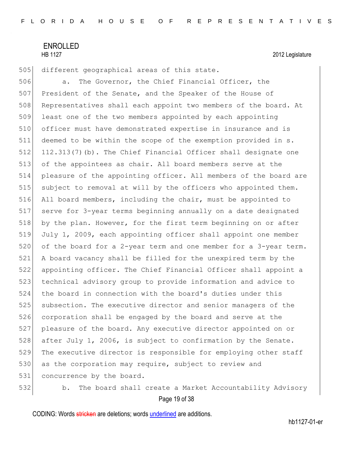505 different geographical areas of this state.

506 **a.** The Governor, the Chief Financial Officer, the 507 President of the Senate, and the Speaker of the House of 508 Representatives shall each appoint two members of the board. At 509 least one of the two members appointed by each appointing 510 officer must have demonstrated expertise in insurance and is 511 deemed to be within the scope of the exemption provided in s. 512 112.313(7)(b). The Chief Financial Officer shall designate one 513 of the appointees as chair. All board members serve at the 514 pleasure of the appointing officer. All members of the board are 515 subject to removal at will by the officers who appointed them. 516 All board members, including the chair, must be appointed to 517 serve for 3-year terms beginning annually on a date designated 518 by the plan. However, for the first term beginning on or after 519 July 1, 2009, each appointing officer shall appoint one member 520 of the board for a 2-year term and one member for a 3-year term. 521 A board vacancy shall be filled for the unexpired term by the 522 appointing officer. The Chief Financial Officer shall appoint a 523 technical advisory group to provide information and advice to 524 the board in connection with the board's duties under this 525 subsection. The executive director and senior managers of the 526 corporation shall be engaged by the board and serve at the 527 pleasure of the board. Any executive director appointed on or 528 after July 1, 2006, is subject to confirmation by the Senate. 529 The executive director is responsible for employing other staff 530 as the corporation may require, subject to review and 531 concurrence by the board.

532 b. The board shall create a Market Accountability Advisory

Page 19 of 38

CODING: Words stricken are deletions; words underlined are additions.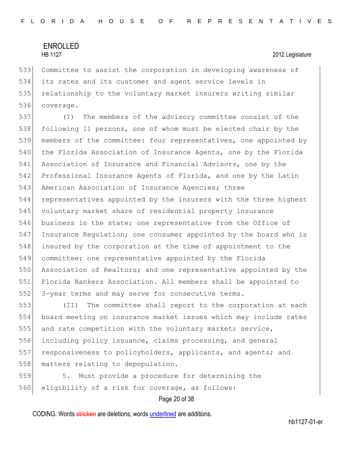Committee to assist the corporation in developing awareness of its rates and its customer and agent service levels in 535 relationship to the voluntary market insurers writing similar coverage.

 (I) The members of the advisory committee consist of the following 11 persons, one of whom must be elected chair by the members of the committee: four representatives, one appointed by 540 the Florida Association of Insurance Agents, one by the Florida Association of Insurance and Financial Advisors, one by the Professional Insurance Agents of Florida, and one by the Latin 543 American Association of Insurance Agencies; three representatives appointed by the insurers with the three highest voluntary market share of residential property insurance business in the state; one representative from the Office of Insurance Regulation; one consumer appointed by the board who is 548 insured by the corporation at the time of appointment to the committee; one representative appointed by the Florida 550 Association of Realtors; and one representative appointed by the Florida Bankers Association. All members shall be appointed to 552 3-year terms and may serve for consecutive terms.

553 (II) The committee shall report to the corporation at each 554 board meeting on insurance market issues which may include rates 555 and rate competition with the voluntary market; service, 556 including policy issuance, claims processing, and general 557 responsiveness to policyholders, applicants, and agents; and 558 matters relating to depopulation.

559 5. Must provide a procedure for determining the 560 eligibility of a risk for coverage, as follows:

Page 20 of 38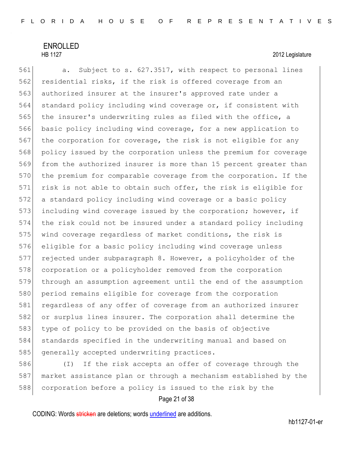# ENROLLED

### HB 1127 2012 Legislature

561 a. Subject to s. 627.3517, with respect to personal lines 562 residential risks, if the risk is offered coverage from an 563 authorized insurer at the insurer's approved rate under a 564 standard policy including wind coverage or, if consistent with 565 the insurer's underwriting rules as filed with the office, a 566 basic policy including wind coverage, for a new application to 567 the corporation for coverage, the risk is not eligible for any 568 policy issued by the corporation unless the premium for coverage 569 from the authorized insurer is more than 15 percent greater than 570 the premium for comparable coverage from the corporation. If the 571 risk is not able to obtain such offer, the risk is eligible for 572 a standard policy including wind coverage or a basic policy 573 including wind coverage issued by the corporation; however, if 574 the risk could not be insured under a standard policy including 575 wind coverage regardless of market conditions, the risk is 576 eligible for a basic policy including wind coverage unless 577 rejected under subparagraph 8. However, a policyholder of the 578 corporation or a policyholder removed from the corporation 579 through an assumption agreement until the end of the assumption 580 period remains eligible for coverage from the corporation 581 regardless of any offer of coverage from an authorized insurer 582 or surplus lines insurer. The corporation shall determine the 583 type of policy to be provided on the basis of objective 584 standards specified in the underwriting manual and based on 585 generally accepted underwriting practices.

586 (I) If the risk accepts an offer of coverage through the 587 market assistance plan or through a mechanism established by the 588 corporation before a policy is issued to the risk by the

### Page 21 of 38

CODING: Words stricken are deletions; words underlined are additions.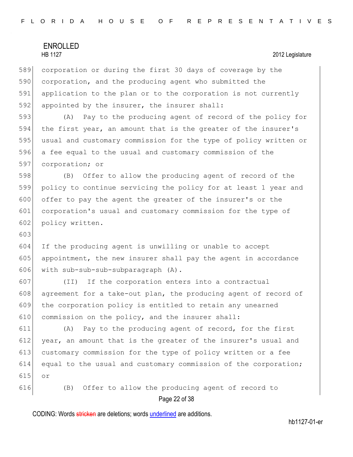|     | <b>ENROLLED</b><br><b>HB 1127</b><br>2012 Legislature            |
|-----|------------------------------------------------------------------|
|     |                                                                  |
| 589 | corporation or during the first 30 days of coverage by the       |
| 590 | corporation, and the producing agent who submitted the           |
| 591 | application to the plan or to the corporation is not currently   |
| 592 | appointed by the insurer, the insurer shall:                     |
| 593 | Pay to the producing agent of record of the policy for<br>(A)    |
| 594 | the first year, an amount that is the greater of the insurer's   |
| 595 | usual and customary commission for the type of policy written or |
| 596 | a fee equal to the usual and customary commission of the         |
| 597 | corporation; or                                                  |
| 598 | Offer to allow the producing agent of record of the<br>(B)       |
| 599 | policy to continue servicing the policy for at least 1 year and  |
| 600 | offer to pay the agent the greater of the insurer's or the       |
| 601 | corporation's usual and customary commission for the type of     |
| 602 | policy written.                                                  |
| 603 |                                                                  |
| 604 | If the producing agent is unwilling or unable to accept          |
| 605 | appointment, the new insurer shall pay the agent in accordance   |
| 606 | with sub-sub-sub-subparagraph (A).                               |
| 607 | If the corporation enters into a contractual<br>(TI)             |
| 608 | agreement for a take-out plan, the producing agent of record of  |
| 609 | the corporation policy is entitled to retain any unearned        |
| 610 | commission on the policy, and the insurer shall:                 |
| 611 | Pay to the producing agent of record, for the first<br>(A)       |
| 612 | year, an amount that is the greater of the insurer's usual and   |
| 613 | customary commission for the type of policy written or a fee     |
| 614 | equal to the usual and customary commission of the corporation;  |
| 615 | or                                                               |
| 616 | Offer to allow the producing agent of record to<br>(B)           |

Page 22 of 38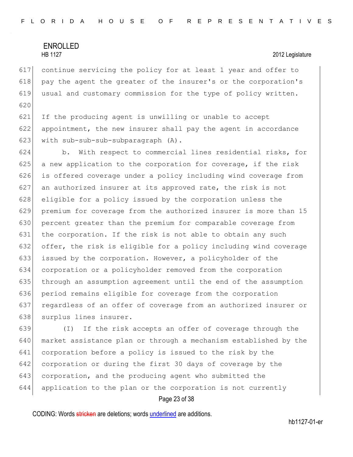continue servicing the policy for at least 1 year and offer to 618 pay the agent the greater of the insurer's or the corporation's usual and customary commission for the type of policy written. 

 If the producing agent is unwilling or unable to accept appointment, the new insurer shall pay the agent in accordance 623 with sub-sub-sub-subparagraph (A).

 b. With respect to commercial lines residential risks, for a new application to the corporation for coverage, if the risk 626 is offered coverage under a policy including wind coverage from an authorized insurer at its approved rate, the risk is not 628 eligible for a policy issued by the corporation unless the premium for coverage from the authorized insurer is more than 15 percent greater than the premium for comparable coverage from the corporation. If the risk is not able to obtain any such offer, the risk is eligible for a policy including wind coverage issued by the corporation. However, a policyholder of the corporation or a policyholder removed from the corporation through an assumption agreement until the end of the assumption period remains eligible for coverage from the corporation regardless of an offer of coverage from an authorized insurer or 638 surplus lines insurer.

 (I) If the risk accepts an offer of coverage through the market assistance plan or through a mechanism established by the corporation before a policy is issued to the risk by the corporation or during the first 30 days of coverage by the 643 corporation, and the producing agent who submitted the application to the plan or the corporation is not currently

### Page 23 of 38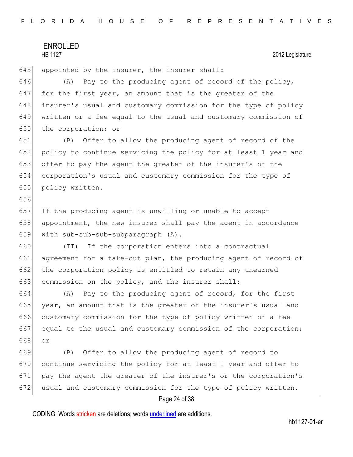656

645 appointed by the insurer, the insurer shall:

646 (A) Pay to the producing agent of record of the policy,  $647$  for the first year, an amount that is the greater of the 648 insurer's usual and customary commission for the type of policy 649 written or a fee equal to the usual and customary commission of 650 the corporation; or

 (B) Offer to allow the producing agent of record of the 652 policy to continue servicing the policy for at least 1 year and offer to pay the agent the greater of the insurer's or the corporation's usual and customary commission for the type of policy written.

657 If the producing agent is unwilling or unable to accept 658 appointment, the new insurer shall pay the agent in accordance 659 with sub-sub-sub-subparagraph (A).

660 (II) If the corporation enters into a contractual 661 agreement for a take-out plan, the producing agent of record of 662 the corporation policy is entitled to retain any unearned 663 commission on the policy, and the insurer shall:

664 (A) Pay to the producing agent of record, for the first 665 year, an amount that is the greater of the insurer's usual and 666 customary commission for the type of policy written or a fee 667 equal to the usual and customary commission of the corporation; 668 or

 (B) Offer to allow the producing agent of record to continue servicing the policy for at least 1 year and offer to pay the agent the greater of the insurer's or the corporation's 672 usual and customary commission for the type of policy written.

### Page 24 of 38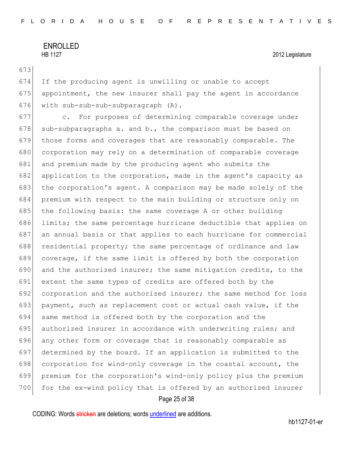673

674 If the producing agent is unwilling or unable to accept 675 appointment, the new insurer shall pay the agent in accordance 676 with sub-sub-sub-subparagraph (A).

 c. For purposes of determining comparable coverage under 678 sub-subparagraphs a. and b., the comparison must be based on those forms and coverages that are reasonably comparable. The 680 corporation may rely on a determination of comparable coverage and premium made by the producing agent who submits the application to the corporation, made in the agent's capacity as 683 the corporation's agent. A comparison may be made solely of the premium with respect to the main building or structure only on 685 the following basis: the same coverage A or other building limits; the same percentage hurricane deductible that applies on an annual basis or that applies to each hurricane for commercial 688 residential property; the same percentage of ordinance and law coverage, if the same limit is offered by both the corporation and the authorized insurer; the same mitigation credits, to the extent the same types of credits are offered both by the corporation and the authorized insurer; the same method for loss payment, such as replacement cost or actual cash value, if the 694 same method is offered both by the corporation and the 695 authorized insurer in accordance with underwriting rules; and any other form or coverage that is reasonably comparable as determined by the board. If an application is submitted to the 698 corporation for wind-only coverage in the coastal account, the premium for the corporation's wind-only policy plus the premium 700 for the ex-wind policy that is offered by an authorized insurer

### Page 25 of 38

CODING: Words stricken are deletions; words underlined are additions.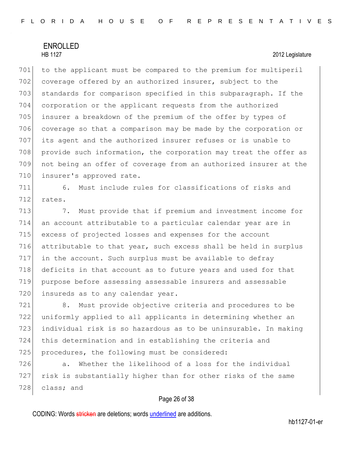701 to the applicant must be compared to the premium for multiperil 702 coverage offered by an authorized insurer, subject to the 703 standards for comparison specified in this subparagraph. If the 704 corporation or the applicant requests from the authorized 705 insurer a breakdown of the premium of the offer by types of 706 coverage so that a comparison may be made by the corporation or 707 its agent and the authorized insurer refuses or is unable to 708 provide such information, the corporation may treat the offer as 709 not being an offer of coverage from an authorized insurer at the 710 insurer's approved rate.

711 6. Must include rules for classifications of risks and 712 rates.

713 713 7. Must provide that if premium and investment income for an account attributable to a particular calendar year are in excess of projected losses and expenses for the account attributable to that year, such excess shall be held in surplus in the account. Such surplus must be available to defray deficits in that account as to future years and used for that purpose before assessing assessable insurers and assessable 720 insureds as to any calendar year.

 8. Must provide objective criteria and procedures to be uniformly applied to all applicants in determining whether an individual risk is so hazardous as to be uninsurable. In making this determination and in establishing the criteria and 725 procedures, the following must be considered:

726 a. Whether the likelihood of a loss for the individual 727 risk is substantially higher than for other risks of the same 728 class; and

### Page 26 of 38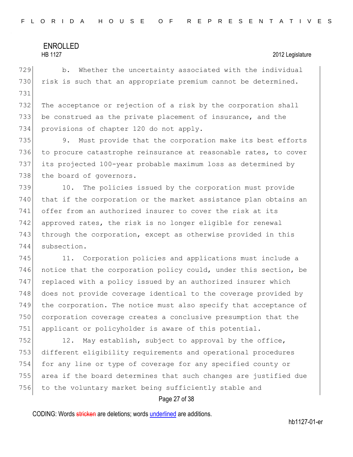729 b. Whether the uncertainty associated with the individual 730 risk is such that an appropriate premium cannot be determined. 731

732 The acceptance or rejection of a risk by the corporation shall 733 be construed as the private placement of insurance, and the 734 provisions of chapter 120 do not apply.

735 9. Must provide that the corporation make its best efforts 736 to procure catastrophe reinsurance at reasonable rates, to cover 737 its projected 100-year probable maximum loss as determined by 738 the board of governors.

 10. The policies issued by the corporation must provide that if the corporation or the market assistance plan obtains an offer from an authorized insurer to cover the risk at its approved rates, the risk is no longer eligible for renewal 743 through the corporation, except as otherwise provided in this subsection.

745 11. Corporation policies and applications must include a 746 notice that the corporation policy could, under this section, be 747 replaced with a policy issued by an authorized insurer which 748 does not provide coverage identical to the coverage provided by 749 the corporation. The notice must also specify that acceptance of 750 corporation coverage creates a conclusive presumption that the 751 applicant or policyholder is aware of this potential.

752 12. May establish, subject to approval by the office, 753 different eligibility requirements and operational procedures 754 for any line or type of coverage for any specified county or 755 area if the board determines that such changes are justified due 756 to the voluntary market being sufficiently stable and

### Page 27 of 38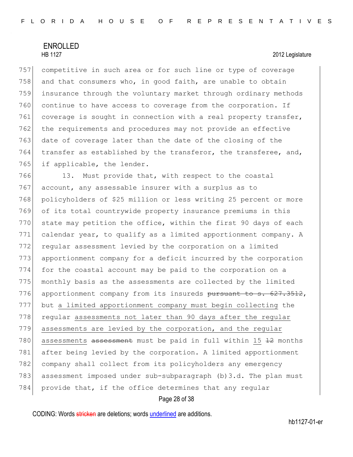competitive in such area or for such line or type of coverage 758 and that consumers who, in good faith, are unable to obtain insurance through the voluntary market through ordinary methods continue to have access to coverage from the corporation. If 761 coverage is sought in connection with a real property transfer, the requirements and procedures may not provide an effective date of coverage later than the date of the closing of the  $\vert$  transfer as established by the transferor, the transferee, and, 765 if applicable, the lender.

766 13. Must provide that, with respect to the coastal 767 account, any assessable insurer with a surplus as to 768 policyholders of \$25 million or less writing 25 percent or more 769 of its total countrywide property insurance premiums in this  $770$  state may petition the office, within the first 90 days of each 771 calendar year, to qualify as a limited apportionment company. A 772 regular assessment levied by the corporation on a limited 773 apportionment company for a deficit incurred by the corporation 774 for the coastal account may be paid to the corporation on a 775 monthly basis as the assessments are collected by the limited 776 apportionment company from its insureds pursuant to s. 627.3512, 777 but a limited apportionment company must begin collecting the 778 regular assessments not later than 90 days after the regular 779 assessments are levied by the corporation, and the regular 780 assessments assessment must be paid in full within 15 42 months 781 after being levied by the corporation. A limited apportionment 782 company shall collect from its policyholders any emergency 783 assessment imposed under sub-subparagraph (b)3.d. The plan must 784 provide that, if the office determines that any regular

### Page 28 of 38

CODING: Words stricken are deletions; words underlined are additions.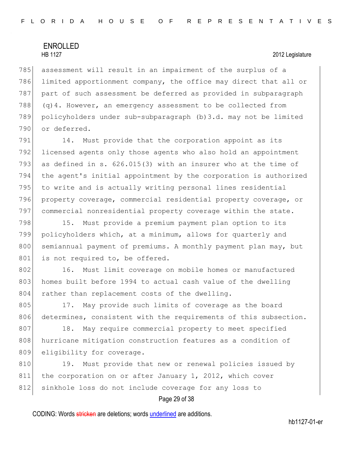785 assessment will result in an impairment of the surplus of a 786 limited apportionment company, the office may direct that all or 787 part of such assessment be deferred as provided in subparagraph 788 (q)4. However, an emergency assessment to be collected from 789 policyholders under sub-subparagraph (b)3.d. may not be limited 790 or deferred.

791 14. Must provide that the corporation appoint as its licensed agents only those agents who also hold an appointment as defined in s. 626.015(3) with an insurer who at the time of the agent's initial appointment by the corporation is authorized 795 to write and is actually writing personal lines residential property coverage, commercial residential property coverage, or commercial nonresidential property coverage within the state.

798 15. Must provide a premium payment plan option to its 799 policyholders which, at a minimum, allows for quarterly and 800 semiannual payment of premiums. A monthly payment plan may, but 801 is not required to, be offered.

802 16. Must limit coverage on mobile homes or manufactured 803 homes built before 1994 to actual cash value of the dwelling 804 rather than replacement costs of the dwelling.

805 17. May provide such limits of coverage as the board 806 determines, consistent with the requirements of this subsection.

807 18. May require commercial property to meet specified 808 hurricane mitigation construction features as a condition of 809 eligibility for coverage.

810 19. Must provide that new or renewal policies issued by 811 the corporation on or after January 1, 2012, which cover 812 sinkhole loss do not include coverage for any loss to

### Page 29 of 38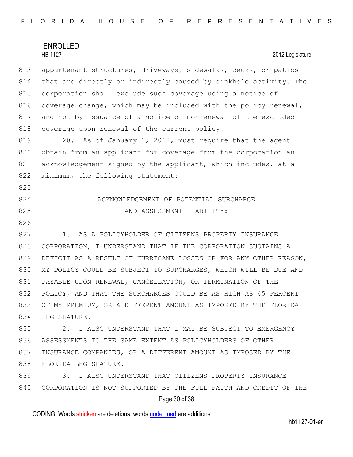823

826

813 appurtenant structures, driveways, sidewalks, decks, or patios 814 that are directly or indirectly caused by sinkhole activity. The 815 corporation shall exclude such coverage using a notice of 816 coverage change, which may be included with the policy renewal, 817 and not by issuance of a notice of nonrenewal of the excluded 818 coverage upon renewal of the current policy.

819 20. As of January 1, 2012, must require that the agent 820 obtain from an applicant for coverage from the corporation an 821 acknowledgement signed by the applicant, which includes, at a 822 minimum, the following statement:

# 824 ACKNOWLEDGEMENT OF POTENTIAL SURCHARGE 825 AND ASSESSMENT LIABILITY:

827 1. AS A POLICYHOLDER OF CITIZENS PROPERTY INSURANCE 828 CORPORATION, I UNDERSTAND THAT IF THE CORPORATION SUSTAINS A 829 DEFICIT AS A RESULT OF HURRICANE LOSSES OR FOR ANY OTHER REASON, 830 MY POLICY COULD BE SUBJECT TO SURCHARGES, WHICH WILL BE DUE AND 831 PAYABLE UPON RENEWAL, CANCELLATION, OR TERMINATION OF THE 832 POLICY, AND THAT THE SURCHARGES COULD BE AS HIGH AS 45 PERCENT 833 OF MY PREMIUM, OR A DIFFERENT AMOUNT AS IMPOSED BY THE FLORIDA 834 LEGISLATURE.

835 2. I ALSO UNDERSTAND THAT I MAY BE SUBJECT TO EMERGENCY 836 ASSESSMENTS TO THE SAME EXTENT AS POLICYHOLDERS OF OTHER 837 INSURANCE COMPANIES, OR A DIFFERENT AMOUNT AS IMPOSED BY THE 838 FLORIDA LEGISLATURE.

839 3. I ALSO UNDERSTAND THAT CITIZENS PROPERTY INSURANCE 840 CORPORATION IS NOT SUPPORTED BY THE FULL FAITH AND CREDIT OF THE

### Page 30 of 38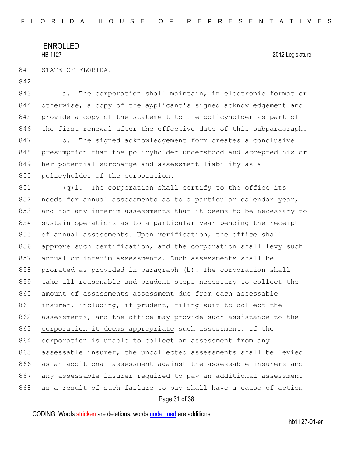842

| 8411 |  | STATE OF FLORIDA. |
|------|--|-------------------|
|      |  |                   |

843 a. The corporation shall maintain, in electronic format or 844 otherwise, a copy of the applicant's signed acknowledgement and 845 provide a copy of the statement to the policyholder as part of 846 the first renewal after the effective date of this subparagraph.

847 b. The signed acknowledgement form creates a conclusive 848 presumption that the policyholder understood and accepted his or 849 her potential surcharge and assessment liability as a 850 policyholder of the corporation.

851 (q)1. The corporation shall certify to the office its 852 needs for annual assessments as to a particular calendar year, 853 and for any interim assessments that it deems to be necessary to 854 sustain operations as to a particular year pending the receipt 855 of annual assessments. Upon verification, the office shall 856 approve such certification, and the corporation shall levy such 857 annual or interim assessments. Such assessments shall be 858 prorated as provided in paragraph (b). The corporation shall 859 take all reasonable and prudent steps necessary to collect the 860 amount of assessments assessment due from each assessable 861 insurer, including, if prudent, filing suit to collect the 862 assessments, and the office may provide such assistance to the 863 corporation it deems appropriate such assessment. If the 864 corporation is unable to collect an assessment from any 865 assessable insurer, the uncollected assessments shall be levied 866 as an additional assessment against the assessable insurers and 867 any assessable insurer required to pay an additional assessment 868 as a result of such failure to pay shall have a cause of action

Page 31 of 38

CODING: Words stricken are deletions; words underlined are additions.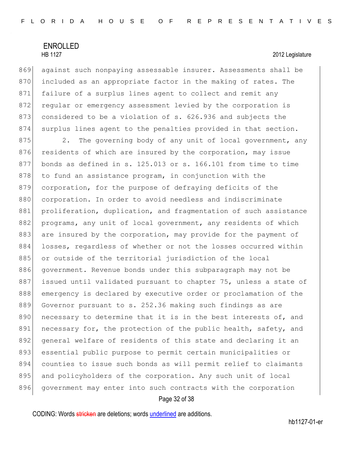869 against such nonpaying assessable insurer. Assessments shall be 870 included as an appropriate factor in the making of rates. The 871 failure of a surplus lines agent to collect and remit any 872 regular or emergency assessment levied by the corporation is 873 considered to be a violation of s. 626.936 and subjects the 874 surplus lines agent to the penalties provided in that section.

875 2. The governing body of any unit of local government, any 876 residents of which are insured by the corporation, may issue 877 bonds as defined in s. 125.013 or s. 166.101 from time to time  $878$  to fund an assistance program, in conjunction with the 879 corporation, for the purpose of defraying deficits of the 880 corporation. In order to avoid needless and indiscriminate 881 proliferation, duplication, and fragmentation of such assistance 882 programs, any unit of local government, any residents of which 883 are insured by the corporation, may provide for the payment of 884 losses, regardless of whether or not the losses occurred within 885 or outside of the territorial jurisdiction of the local 886 government. Revenue bonds under this subparagraph may not be 887 issued until validated pursuant to chapter 75, unless a state of 888 emergency is declared by executive order or proclamation of the 889 Governor pursuant to s. 252.36 making such findings as are 890 necessary to determine that it is in the best interests of, and 891 necessary for, the protection of the public health, safety, and 892 general welfare of residents of this state and declaring it an 893 essential public purpose to permit certain municipalities or 894 counties to issue such bonds as will permit relief to claimants 895 and policyholders of the corporation. Any such unit of local 896 government may enter into such contracts with the corporation

### Page 32 of 38

CODING: Words stricken are deletions; words underlined are additions.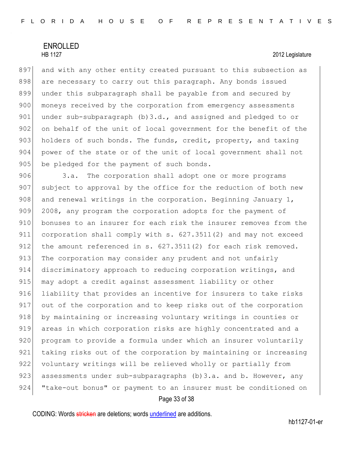897 and with any other entity created pursuant to this subsection as 898 are necessary to carry out this paragraph. Any bonds issued 899 under this subparagraph shall be payable from and secured by 900 moneys received by the corporation from emergency assessments 901 under sub-subparagraph  $(b)$  3.d., and assigned and pledged to or 902 on behalf of the unit of local government for the benefit of the 903 holders of such bonds. The funds, credit, property, and taxing 904 power of the state or of the unit of local government shall not 905 be pledged for the payment of such bonds.

906 3.a. The corporation shall adopt one or more programs 907 subject to approval by the office for the reduction of both new 908 and renewal writings in the corporation. Beginning January 1, 909 2008, any program the corporation adopts for the payment of 910 bonuses to an insurer for each risk the insurer removes from the 911 corporation shall comply with s. 627.3511(2) and may not exceed 912 the amount referenced in s. 627.3511(2) for each risk removed. 913 The corporation may consider any prudent and not unfairly 914 discriminatory approach to reducing corporation writings, and 915 may adopt a credit against assessment liability or other 916 liability that provides an incentive for insurers to take risks 917 out of the corporation and to keep risks out of the corporation 918 by maintaining or increasing voluntary writings in counties or 919 areas in which corporation risks are highly concentrated and a 920 program to provide a formula under which an insurer voluntarily 921 taking risks out of the corporation by maintaining or increasing 922 voluntary writings will be relieved wholly or partially from 923 assessments under sub-subparagraphs (b) 3.a. and b. However, any 924 "take-out bonus" or payment to an insurer must be conditioned on

### Page 33 of 38

CODING: Words stricken are deletions; words underlined are additions.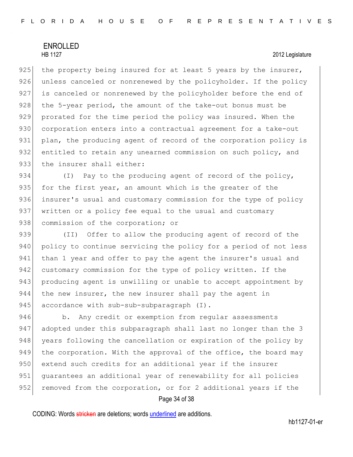925 the property being insured for at least 5 years by the insurer, 926 unless canceled or nonrenewed by the policyholder. If the policy 927 is canceled or nonrenewed by the policyholder before the end of 928 the 5-year period, the amount of the take-out bonus must be 929 prorated for the time period the policy was insured. When the 930 corporation enters into a contractual agreement for a take-out 931 plan, the producing agent of record of the corporation policy is 932 entitled to retain any unearned commission on such policy, and 933 the insurer shall either:

934 (I) Pay to the producing agent of record of the policy, 935 for the first year, an amount which is the greater of the 936 insurer's usual and customary commission for the type of policy 937 written or a policy fee equal to the usual and customary 938 commission of the corporation; or

939 (II) Offer to allow the producing agent of record of the 940 policy to continue servicing the policy for a period of not less 941 than 1 year and offer to pay the agent the insurer's usual and 942 customary commission for the type of policy written. If the 943 producing agent is unwilling or unable to accept appointment by 944 the new insurer, the new insurer shall pay the agent in 945 accordance with sub-sub-subparagraph (I).

946 b. Any credit or exemption from regular assessments 947 adopted under this subparagraph shall last no longer than the 3 948 years following the cancellation or expiration of the policy by 949 the corporation. With the approval of the office, the board may 950 extend such credits for an additional year if the insurer 951 guarantees an additional year of renewability for all policies 952 removed from the corporation, or for 2 additional years if the

### Page 34 of 38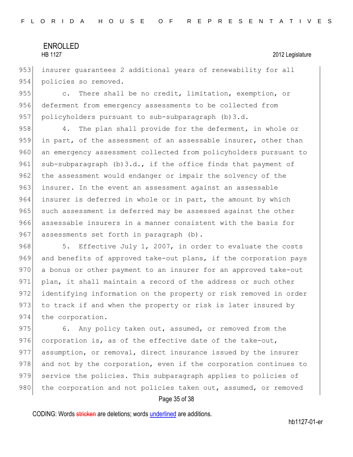953 insurer quarantees 2 additional years of renewability for all 954 policies so removed.

955 c. There shall be no credit, limitation, exemption, or 956 deferment from emergency assessments to be collected from 957 policyholders pursuant to sub-subparagraph (b) 3.d.

958 4. The plan shall provide for the deferment, in whole or 959 in part, of the assessment of an assessable insurer, other than 960 an emergency assessment collected from policyholders pursuant to 961 sub-subparagraph  $(b)$ 3.d., if the office finds that payment of 962 the assessment would endanger or impair the solvency of the 963 insurer. In the event an assessment against an assessable 964 insurer is deferred in whole or in part, the amount by which 965 such assessment is deferred may be assessed against the other 966 assessable insurers in a manner consistent with the basis for 967 assessments set forth in paragraph (b).

968 5. Effective July 1, 2007, in order to evaluate the costs 969 and benefits of approved take-out plans, if the corporation pays 970 a bonus or other payment to an insurer for an approved take-out 971 plan, it shall maintain a record of the address or such other 972 identifying information on the property or risk removed in order 973 to track if and when the property or risk is later insured by 974 the corporation.

975 6. Any policy taken out, assumed, or removed from the 976 corporation is, as of the effective date of the take-out, 977 assumption, or removal, direct insurance issued by the insurer 978 and not by the corporation, even if the corporation continues to 979 service the policies. This subparagraph applies to policies of 980 the corporation and not policies taken out, assumed, or removed

### Page 35 of 38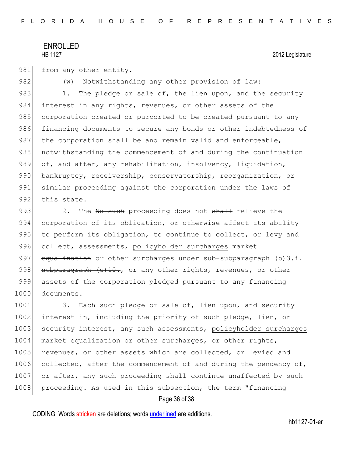981 from any other entity.

982 (w) Notwithstanding any other provision of law: 983 1. The pledge or sale of, the lien upon, and the security 984 interest in any rights, revenues, or other assets of the 985 corporation created or purported to be created pursuant to any 986 financing documents to secure any bonds or other indebtedness of 987 the corporation shall be and remain valid and enforceable, 988 | notwithstanding the commencement of and during the continuation 989 of, and after, any rehabilitation, insolvency, liquidation, 990 bankruptcy, receivership, conservatorship, reorganization, or 991 similar proceeding against the corporation under the laws of 992 this state.

993 2. The No such proceeding does not shall relieve the 994 corporation of its obligation, or otherwise affect its ability 995 to perform its obligation, to continue to collect, or levy and 996 collect, assessments, policyholder surcharges market 997 equalization or other surcharges under sub-subparagraph (b)  $3.i.$ 998  $\vert$  subparagraph  $\vert c \rangle$ 10., or any other rights, revenues, or other 999 assets of the corporation pledged pursuant to any financing 1000 documents.

1001 3. Each such pledge or sale of, lien upon, and security 1002 interest in, including the priority of such pledge, lien, or 1003 security interest, any such assessments, policyholder surcharges 1004 market equalization or other surcharges, or other rights, 1005 revenues, or other assets which are collected, or levied and 1006 collected, after the commencement of and during the pendency of, 1007 or after, any such proceeding shall continue unaffected by such 1008 proceeding. As used in this subsection, the term "financing"

### Page 36 of 38

CODING: Words stricken are deletions; words underlined are additions.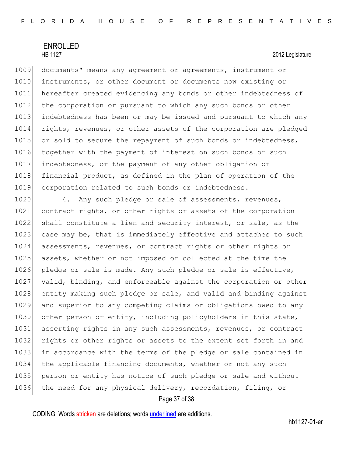1009 documents" means any agreement or agreements, instrument or 1010 instruments, or other document or documents now existing or 1011 hereafter created evidencing any bonds or other indebtedness of 1012 the corporation or pursuant to which any such bonds or other 1013 indebtedness has been or may be issued and pursuant to which any 1014 rights, revenues, or other assets of the corporation are pledged 1015 or sold to secure the repayment of such bonds or indebtedness, 1016 together with the payment of interest on such bonds or such 1017 indebtedness, or the payment of any other obligation or 1018 financial product, as defined in the plan of operation of the 1019 corporation related to such bonds or indebtedness.

1020 4. Any such pledge or sale of assessments, revenues, 1021 contract rights, or other rights or assets of the corporation 1022 shall constitute a lien and security interest, or sale, as the 1023 case may be, that is immediately effective and attaches to such 1024 assessments, revenues, or contract rights or other rights or 1025 assets, whether or not imposed or collected at the time the 1026 pledge or sale is made. Any such pledge or sale is effective, 1027 valid, binding, and enforceable against the corporation or other 1028 entity making such pledge or sale, and valid and binding against 1029 and superior to any competing claims or obligations owed to any 1030 other person or entity, including policyholders in this state, 1031 asserting rights in any such assessments, revenues, or contract 1032 rights or other rights or assets to the extent set forth in and 1033 in accordance with the terms of the pledge or sale contained in 1034 the applicable financing documents, whether or not any such 1035 person or entity has notice of such pledge or sale and without 1036 the need for any physical delivery, recordation, filing, or

### Page 37 of 38

CODING: Words stricken are deletions; words underlined are additions.